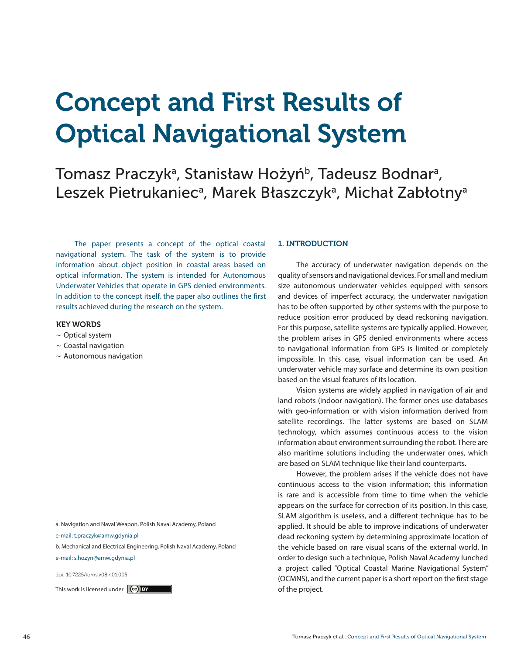# Concept and First Results of Optical Navigational System

# Tomasz Praczykª, Stanisław Hożyń<sup>ь</sup>, Tadeusz Bodnarª, Leszek Pietrukaniec<sup>a</sup>, Marek Błaszczyk<sup>a</sup>, Michał Zabłotnya

The paper presents a concept of the optical coastal navigational system. The task of the system is to provide information about object position in coastal areas based on optical information. The system is intended for Autonomous Underwater Vehicles that operate in GPS denied environments. In addition to the concept itself, the paper also outlines the first results achieved during the research on the system.

#### KEY WORDS

- $\sim$  Optical system
- ~ Coastal navigation
- $\sim$  Autonomous navigation

a. Navigation and Naval Weapon, Polish Naval Academy, Poland

e-mail: t.praczyk@amw.gdynia.pl

b. Mechanical and Electrical Engineering, Polish Naval Academy, Poland

e-mail: s.hozyn@amw.gdynia.pl

doi: 10.7225/toms.v08.n01.005

This work is licensed under  $(c)$  by  $\Box$ 

#### 1. INTRODUCTION

The accuracy of underwater navigation depends on the quality of sensors and navigational devices. For small and medium size autonomous underwater vehicles equipped with sensors and devices of imperfect accuracy, the underwater navigation has to be often supported by other systems with the purpose to reduce position error produced by dead reckoning navigation. For this purpose, satellite systems are typically applied. However, the problem arises in GPS denied environments where access to navigational information from GPS is limited or completely impossible. In this case, visual information can be used. An underwater vehicle may surface and determine its own position based on the visual features of its location.

Vision systems are widely applied in navigation of air and land robots (indoor navigation). The former ones use databases with geo-information or with vision information derived from satellite recordings. The latter systems are based on SLAM technology, which assumes continuous access to the vision information about environment surrounding the robot. There are also maritime solutions including the underwater ones, which are based on SLAM technique like their land counterparts.

However, the problem arises if the vehicle does not have continuous access to the vision information; this information is rare and is accessible from time to time when the vehicle appears on the surface for correction of its position. In this case, SLAM algorithm is useless, and a different technique has to be applied. It should be able to improve indications of underwater dead reckoning system by determining approximate location of the vehicle based on rare visual scans of the external world. In order to design such a technique, Polish Naval Academy lunched a project called "Optical Coastal Marine Navigational System" (OCMNS), and the current paper is a short report on the first stage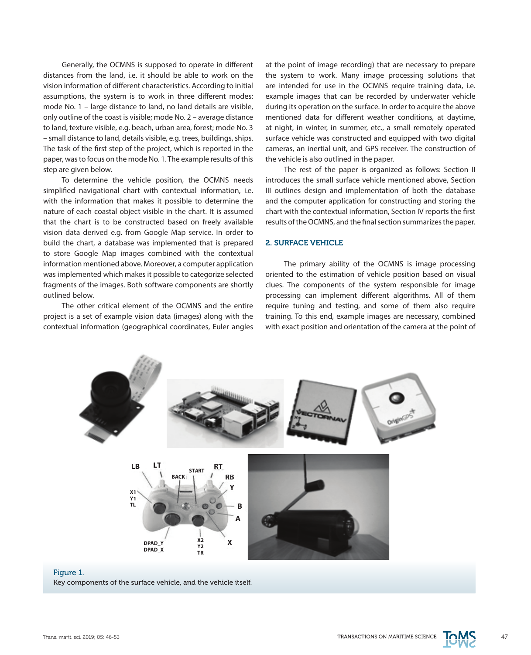Generally, the OCMNS is supposed to operate in different distances from the land, i.e. it should be able to work on the vision information of different characteristics. According to initial assumptions, the system is to work in three different modes: mode No. 1 – large distance to land, no land details are visible, only outline of the coast is visible; mode No. 2 – average distance to land, texture visible, e.g. beach, urban area, forest; mode No. 3 – small distance to land, details visible, e.g. trees, buildings, ships. The task of the first step of the project, which is reported in the paper, was to focus on the mode No. 1. The example results of this step are given below.

To determine the vehicle position, the OCMNS needs simplified navigational chart with contextual information, i.e. with the information that makes it possible to determine the nature of each coastal object visible in the chart. It is assumed that the chart is to be constructed based on freely available vision data derived e.g. from Google Map service. In order to build the chart, a database was implemented that is prepared to store Google Map images combined with the contextual information mentioned above. Moreover, a computer application was implemented which makes it possible to categorize selected fragments of the images. Both software components are shortly outlined below.

The other critical element of the OCMNS and the entire project is a set of example vision data (images) along with the contextual information (geographical coordinates, Euler angles at the point of image recording) that are necessary to prepare the system to work. Many image processing solutions that are intended for use in the OCMNS require training data, i.e. example images that can be recorded by underwater vehicle during its operation on the surface. In order to acquire the above mentioned data for different weather conditions, at daytime, at night, in winter, in summer, etc., a small remotely operated surface vehicle was constructed and equipped with two digital cameras, an inertial unit, and GPS receiver. The construction of the vehicle is also outlined in the paper.

The rest of the paper is organized as follows: Section II introduces the small surface vehicle mentioned above, Section III outlines design and implementation of both the database and the computer application for constructing and storing the chart with the contextual information, Section IV reports the first results of the OCMNS, and the final section summarizes the paper.

### 2. SURFACE VEHICLE

The primary ability of the OCMNS is image processing oriented to the estimation of vehicle position based on visual clues. The components of the system responsible for image processing can implement different algorithms. All of them require tuning and testing, and some of them also require training. To this end, example images are necessary, combined with exact position and orientation of the camera at the point of



#### Figure 1. Key components of the surface vehicle, and the vehicle itself.

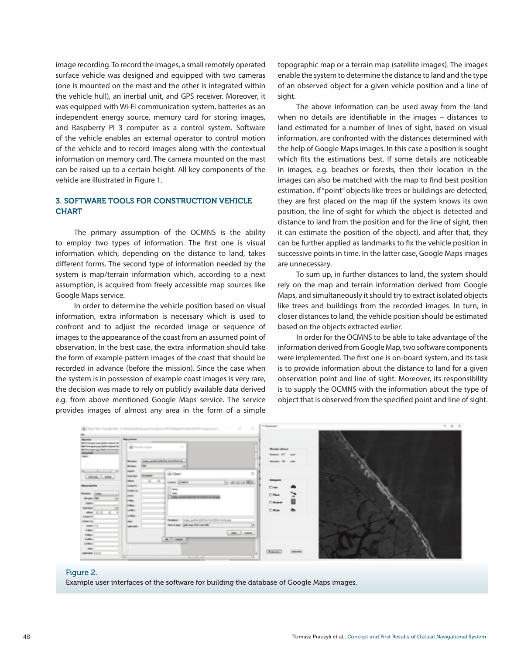image recording. To record the images, a small remotely operated surface vehicle was designed and equipped with two cameras (one is mounted on the mast and the other is integrated within the vehicle hull), an inertial unit, and GPS receiver. Moreover, it was equipped with Wi-Fi communication system, batteries as an independent energy source, memory card for storing images, and Raspberry Pi 3 computer as a control system. Software of the vehicle enables an external operator to control motion of the vehicle and to record images along with the contextual information on memory card. The camera mounted on the mast can be raised up to a certain height. All key components of the vehicle are illustrated in Figure 1.

# 3. SOFTWARE TOOLS FOR CONSTRUCTION VEHICLE **CHART**

The primary assumption of the OCMNS is the ability to employ two types of information. The first one is visual information which, depending on the distance to land, takes different forms. The second type of information needed by the system is map/terrain information which, according to a next assumption, is acquired from freely accessible map sources like Google Maps service.

In order to determine the vehicle position based on visual information, extra information is necessary which is used to confront and to adjust the recorded image or sequence of images to the appearance of the coast from an assumed point of observation. In the best case, the extra information should take the form of example pattern images of the coast that should be recorded in advance (before the mission). Since the case when the system is in possession of example coast images is very rare, the decision was made to rely on publicly available data derived e.g. from above mentioned Google Maps service. The service provides images of almost any area in the form of a simple

topographic map or a terrain map (satellite images). The images enable the system to determine the distance to land and the type of an observed object for a given vehicle position and a line of sight.

The above information can be used away from the land when no details are identifiable in the images – distances to land estimated for a number of lines of sight, based on visual information, are confronted with the distances determined with the help of Google Maps images. In this case a position is sought which fits the estimations best. If some details are noticeable in images, e.g. beaches or forests, then their location in the images can also be matched with the map to find best position estimation. If "point" objects like trees or buildings are detected, they are first placed on the map (if the system knows its own position, the line of sight for which the object is detected and distance to land from the position and for the line of sight, then it can estimate the position of the object), and after that, they can be further applied as landmarks to fix the vehicle position in successive points in time. In the latter case, Google Maps images are unnecessary.

To sum up, in further distances to land, the system should rely on the map and terrain information derived from Google Maps, and simultaneously it should try to extract isolated objects like trees and buildings from the recorded images. In turn, in closer distances to land, the vehicle position should be estimated based on the objects extracted earlier.

In order for the OCMNS to be able to take advantage of the information derived from Google Map, two software components were implemented. The first one is on-board system, and its task is to provide information about the distance to land for a given observation point and line of sight. Moreover, its responsibility is to supply the OCMNS with the information about the type of object that is observed from the specified point and line of sight.



#### Figure 2.

Example user interfaces of the software for building the database of Google Maps images.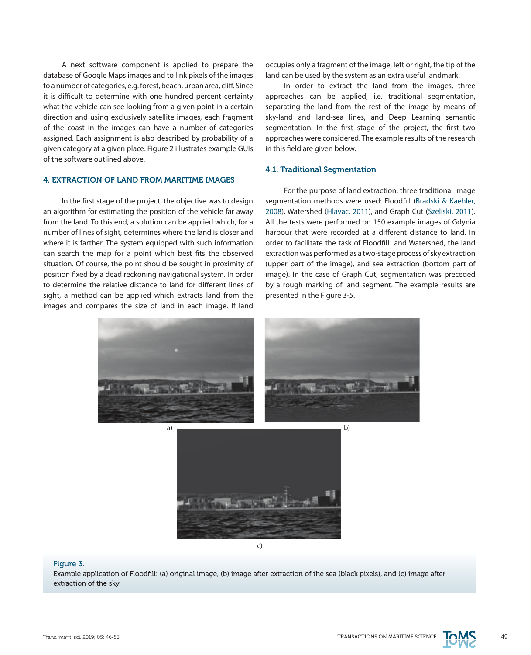A next software component is applied to prepare the database of Google Maps images and to link pixels of the images to a number of categories, e.g. forest, beach, urban area, cliff. Since it is difficult to determine with one hundred percent certainty what the vehicle can see looking from a given point in a certain direction and using exclusively satellite images, each fragment of the coast in the images can have a number of categories assigned. Each assignment is also described by probability of a given category at a given place. Figure 2 illustrates example GUIs of the software outlined above.

# 4. EXTRACTION OF LAND FROM MARITIME IMAGES

In the first stage of the project, the objective was to design an algorithm for estimating the position of the vehicle far away from the land. To this end, a solution can be applied which, for a number of lines of sight, determines where the land is closer and where it is farther. The system equipped with such information can search the map for a point which best fits the observed situation. Of course, the point should be sought in proximity of position fixed by a dead reckoning navigational system. In order to determine the relative distance to land for different lines of sight, a method can be applied which extracts land from the images and compares the size of land in each image. If land

occupies only a fragment of the image, left or right, the tip of the land can be used by the system as an extra useful landmark.

In order to extract the land from the images, three approaches can be applied, i.e. traditional segmentation, separating the land from the rest of the image by means of sky-land and land-sea lines, and Deep Learning semantic segmentation. In the first stage of the project, the first two approaches were considered. The example results of the research in this field are given below.

# 4.1. Traditional Segmentation

For the purpose of land extraction, three traditional image segmentation methods were used: Floodfill (Bradski & Kaehler, 2008), Watershed (Hlavac, 2011), and Graph Cut (Szeliski, 2011). All the tests were performed on 150 example images of Gdynia harbour that were recorded at a different distance to land. In order to facilitate the task of Floodfill and Watershed, the land extraction was performed as a two-stage process of sky extraction (upper part of the image), and sea extraction (bottom part of image). In the case of Graph Cut, segmentation was preceded by a rough marking of land segment. The example results are presented in the Figure 3-5.





#### Figure 3.

Example application of Floodfill: (a) original image, (b) image after extraction of the sea (black pixels), and (c) image after extraction of the sky.

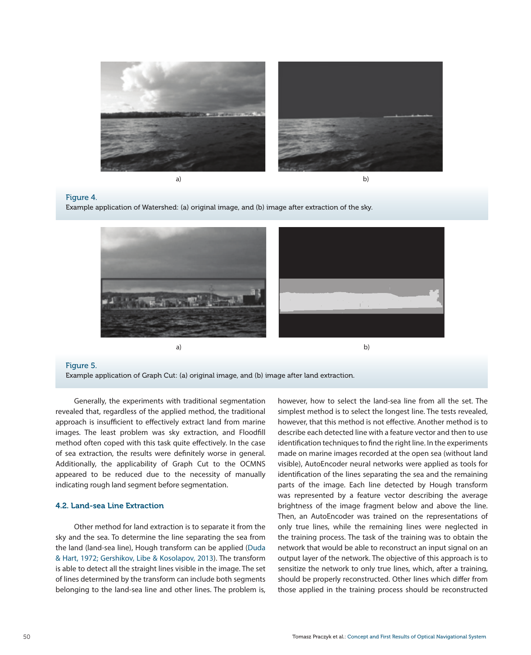

a)

b)

#### Figure 4.

Example application of Watershed: (a) original image, and (b) image after extraction of the sky.



#### Figure 5.

Example application of Graph Cut: (a) original image, and (b) image after land extraction.

Generally, the experiments with traditional segmentation revealed that, regardless of the applied method, the traditional approach is insufficient to effectively extract land from marine images. The least problem was sky extraction, and Floodfill method often coped with this task quite effectively. In the case of sea extraction, the results were definitely worse in general. Additionally, the applicability of Graph Cut to the OCMNS appeared to be reduced due to the necessity of manually indicating rough land segment before segmentation.

# 4.2. Land-sea Line Extraction

Other method for land extraction is to separate it from the sky and the sea. To determine the line separating the sea from the land (land-sea line), Hough transform can be applied (Duda & Hart, 1972; Gershikov, Libe & Kosolapov, 2013). The transform is able to detect all the straight lines visible in the image. The set of lines determined by the transform can include both segments belonging to the land-sea line and other lines. The problem is,

however, how to select the land-sea line from all the set. The simplest method is to select the longest line. The tests revealed, however, that this method is not effective. Another method is to describe each detected line with a feature vector and then to use identification techniques to find the right line. In the experiments made on marine images recorded at the open sea (without land visible), AutoEncoder neural networks were applied as tools for identification of the lines separating the sea and the remaining parts of the image. Each line detected by Hough transform was represented by a feature vector describing the average brightness of the image fragment below and above the line. Then, an AutoEncoder was trained on the representations of only true lines, while the remaining lines were neglected in the training process. The task of the training was to obtain the network that would be able to reconstruct an input signal on an output layer of the network. The objective of this approach is to sensitize the network to only true lines, which, after a training, should be properly reconstructed. Other lines which differ from those applied in the training process should be reconstructed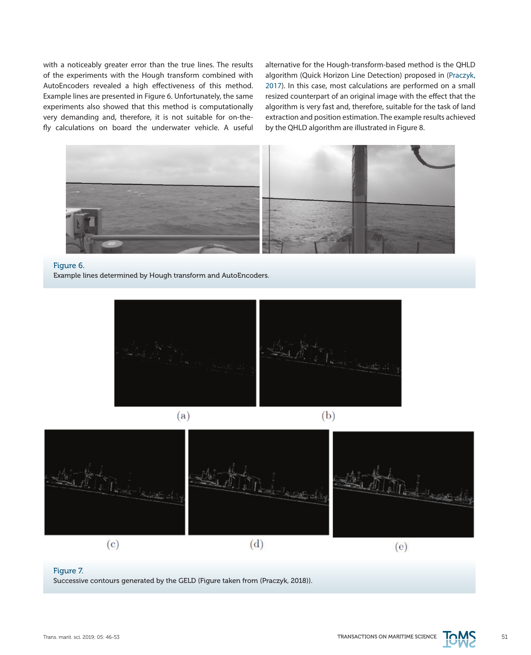with a noticeably greater error than the true lines. The results of the experiments with the Hough transform combined with AutoEncoders revealed a high effectiveness of this method. Example lines are presented in Figure 6. Unfortunately, the same experiments also showed that this method is computationally very demanding and, therefore, it is not suitable for on-thefly calculations on board the underwater vehicle. A useful alternative for the Hough-transform-based method is the QHLD algorithm (Quick Horizon Line Detection) proposed in (Praczyk, 2017). In this case, most calculations are performed on a small resized counterpart of an original image with the effect that the algorithm is very fast and, therefore, suitable for the task of land extraction and position estimation. The example results achieved by the QHLD algorithm are illustrated in Figure 8.



# Figure 6.

Example lines determined by Hough transform and AutoEncoders.









#### Figure 7.

Successive contours generated by the GELD (Figure taken from (Praczyk, 2018)).

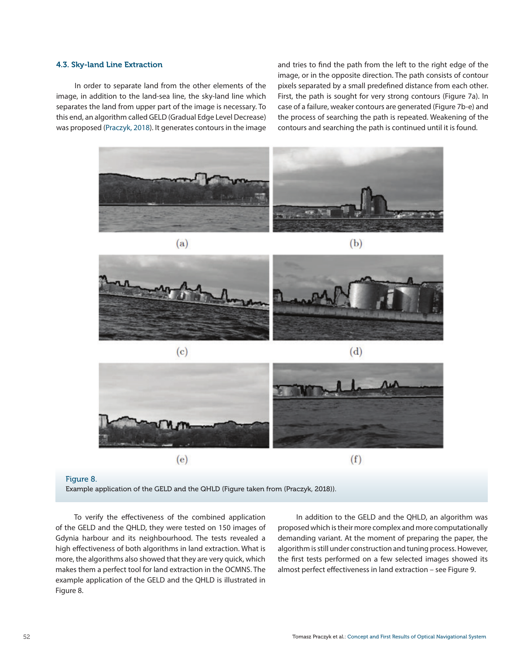# 4.3. Sky-land Line Extraction

In order to separate land from the other elements of the image, in addition to the land-sea line, the sky-land line which separates the land from upper part of the image is necessary. To this end, an algorithm called GELD (Gradual Edge Level Decrease) was proposed (Praczyk, 2018). It generates contours in the image and tries to find the path from the left to the right edge of the image, or in the opposite direction. The path consists of contour pixels separated by a small predefined distance from each other. First, the path is sought for very strong contours (Figure 7a). In case of a failure, weaker contours are generated (Figure 7b-e) and the process of searching the path is repeated. Weakening of the contours and searching the path is continued until it is found.







#### Figure 8.

Example application of the GELD and the QHLD (Figure taken from (Praczyk, 2018)).

To verify the effectiveness of the combined application of the GELD and the QHLD, they were tested on 150 images of Gdynia harbour and its neighbourhood. The tests revealed a high effectiveness of both algorithms in land extraction. What is more, the algorithms also showed that they are very quick, which makes them a perfect tool for land extraction in the OCMNS. The example application of the GELD and the QHLD is illustrated in Figure 8.

In addition to the GELD and the QHLD, an algorithm was proposed which is their more complex and more computationally demanding variant. At the moment of preparing the paper, the algorithm is still under construction and tuning process. However, the first tests performed on a few selected images showed its almost perfect effectiveness in land extraction – see Figure 9.